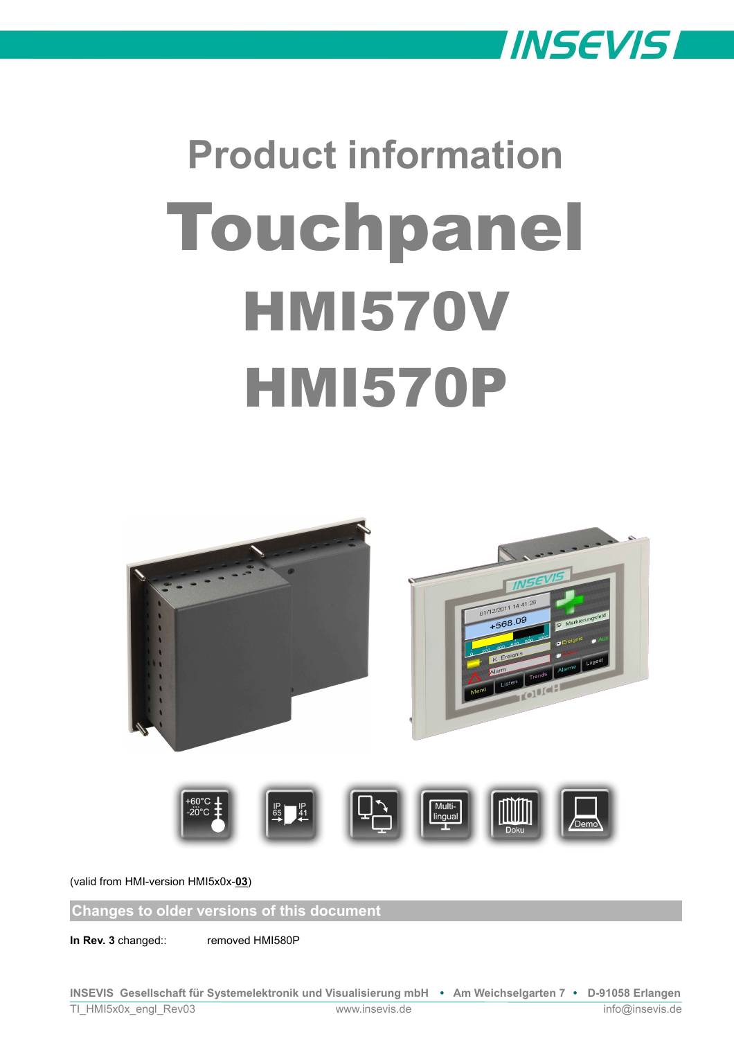

# **Product information** Touchpanel **HMI570V HMI570P**



(valid from HMI-version HMI5x0x-**03**)

**Changes to older versions of this document**

**In Rev. 3** changed:: removed HMI580P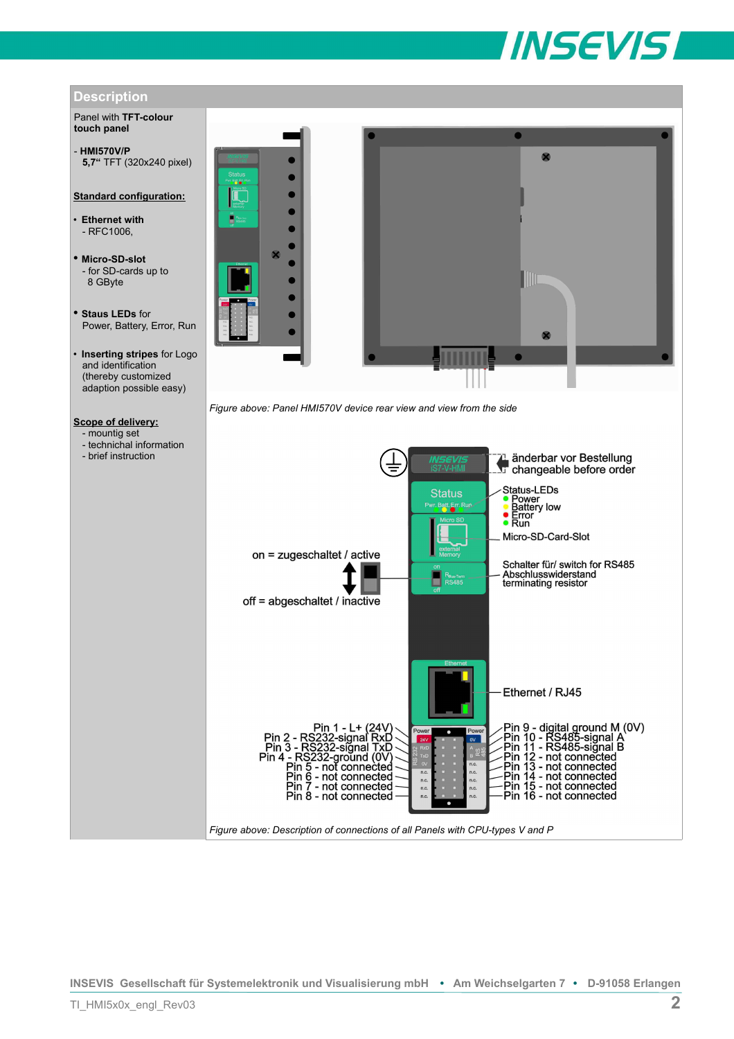

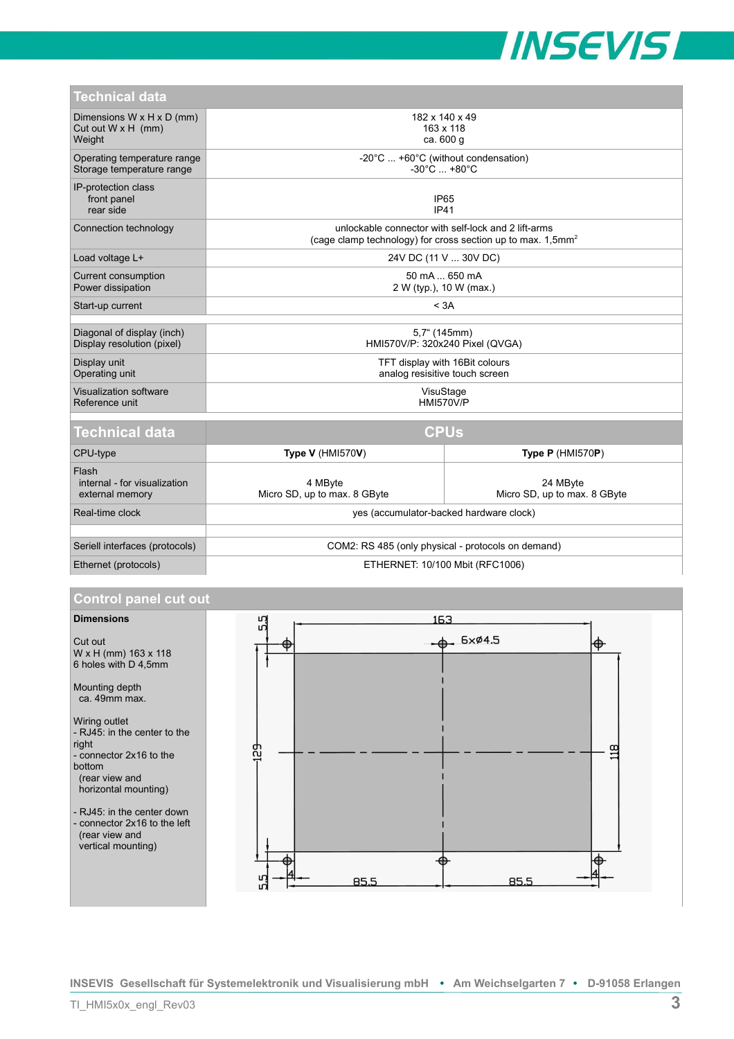

| Technical data                                                   |                                                                                                                                   |                                          |
|------------------------------------------------------------------|-----------------------------------------------------------------------------------------------------------------------------------|------------------------------------------|
| Dimensions W x H x D (mm)<br>Cut out $W \times H$ (mm)<br>Weight | 182 x 140 x 49<br>163 x 118<br>ca. 600 g                                                                                          |                                          |
| Operating temperature range<br>Storage temperature range         | -20°C  +60°C (without condensation)<br>$-30^{\circ}$ C $+80^{\circ}$ C                                                            |                                          |
| IP-protection class<br>front panel<br>rear side                  | IP <sub>65</sub><br><b>IP41</b>                                                                                                   |                                          |
| Connection technology                                            | unlockable connector with self-lock and 2 lift-arms<br>(cage clamp technology) for cross section up to max. $1,5$ mm <sup>2</sup> |                                          |
| Load voltage L+                                                  | 24V DC (11 V  30V DC)                                                                                                             |                                          |
| Current consumption<br>Power dissipation                         | 50 mA  650 mA<br>2 W (typ.), 10 W (max.)                                                                                          |                                          |
| Start-up current                                                 | < 3A                                                                                                                              |                                          |
| Diagonal of display (inch)                                       | 5,7" (145mm)                                                                                                                      |                                          |
| Display resolution (pixel)                                       | HMI570V/P: 320x240 Pixel (QVGA)                                                                                                   |                                          |
| Display unit<br>Operating unit                                   | TFT display with 16Bit colours<br>analog resisitive touch screen                                                                  |                                          |
| Visualization software<br>Reference unit                         | VisuStage<br><b>HMI570V/P</b>                                                                                                     |                                          |
| <b>CPUs</b><br>Technical data                                    |                                                                                                                                   |                                          |
| CPU-type                                                         | <b>Type V (HMI570V)</b>                                                                                                           | <b>Type P (HMI570P)</b>                  |
| Flash<br>internal - for visualization<br>external memory         | 4 MByte<br>Micro SD, up to max. 8 GByte                                                                                           | 24 MByte<br>Micro SD, up to max. 8 GByte |
| Real-time clock                                                  | yes (accumulator-backed hardware clock)                                                                                           |                                          |
|                                                                  |                                                                                                                                   |                                          |
| Seriell interfaces (protocols)                                   | COM2: RS 485 (only physical - protocols on demand)                                                                                |                                          |
| Ethernet (protocols)                                             | ETHERNET: 10/100 Mbit (RFC1006)                                                                                                   |                                          |

# **Control panel cut out**